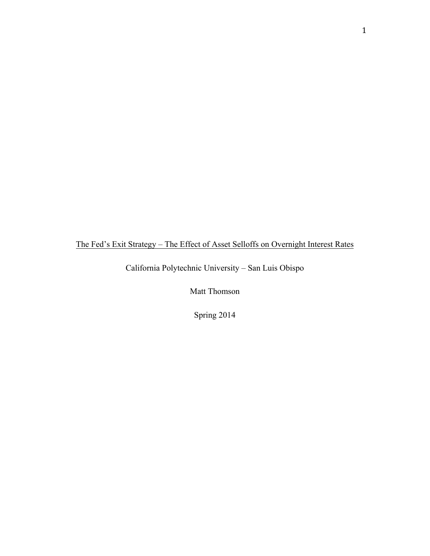# The Fed's Exit Strategy – The Effect of Asset Selloffs on Overnight Interest Rates

California Polytechnic University – San Luis Obispo

Matt Thomson

Spring 2014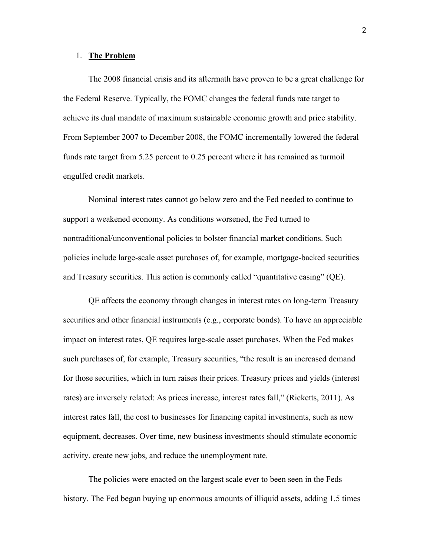#### 1. **The Problem**

The 2008 financial crisis and its aftermath have proven to be a great challenge for the Federal Reserve. Typically, the FOMC changes the federal funds rate target to achieve its dual mandate of maximum sustainable economic growth and price stability. From September 2007 to December 2008, the FOMC incrementally lowered the federal funds rate target from 5.25 percent to 0.25 percent where it has remained as turmoil engulfed credit markets.

Nominal interest rates cannot go below zero and the Fed needed to continue to support a weakened economy. As conditions worsened, the Fed turned to nontraditional/unconventional policies to bolster financial market conditions. Such policies include large-scale asset purchases of, for example, mortgage-backed securities and Treasury securities. This action is commonly called "quantitative easing" (QE).

QE affects the economy through changes in interest rates on long-term Treasury securities and other financial instruments (e.g., corporate bonds). To have an appreciable impact on interest rates, QE requires large-scale asset purchases. When the Fed makes such purchases of, for example, Treasury securities, "the result is an increased demand for those securities, which in turn raises their prices. Treasury prices and yields (interest rates) are inversely related: As prices increase, interest rates fall," (Ricketts, 2011). As interest rates fall, the cost to businesses for financing capital investments, such as new equipment, decreases. Over time, new business investments should stimulate economic activity, create new jobs, and reduce the unemployment rate.

The policies were enacted on the largest scale ever to been seen in the Feds history. The Fed began buying up enormous amounts of illiquid assets, adding 1.5 times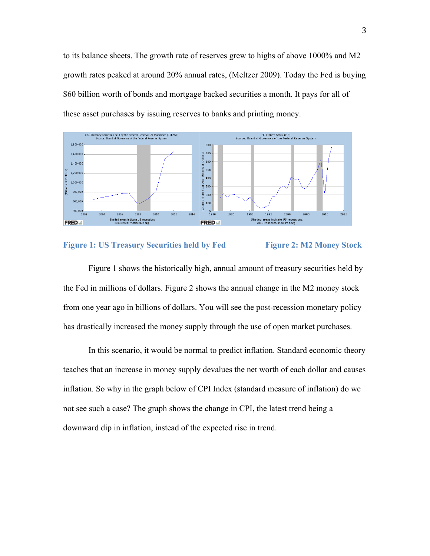to its balance sheets. The growth rate of reserves grew to highs of above 1000% and M2 growth rates peaked at around 20% annual rates, (Meltzer 2009). Today the Fed is buying \$60 billion worth of bonds and mortgage backed securities a month. It pays for all of these asset purchases by issuing reserves to banks and printing money.



### **Figure 1: US Treasury Securities held by Fed Figure 2: M2 Money Stock**

Figure 1 shows the historically high, annual amount of treasury securities held by the Fed in millions of dollars. Figure 2 shows the annual change in the M2 money stock from one year ago in billions of dollars. You will see the post-recession monetary policy has drastically increased the money supply through the use of open market purchases.

In this scenario, it would be normal to predict inflation. Standard economic theory teaches that an increase in money supply devalues the net worth of each dollar and causes inflation. So why in the graph below of CPI Index (standard measure of inflation) do we not see such a case? The graph shows the change in CPI, the latest trend being a downward dip in inflation, instead of the expected rise in trend.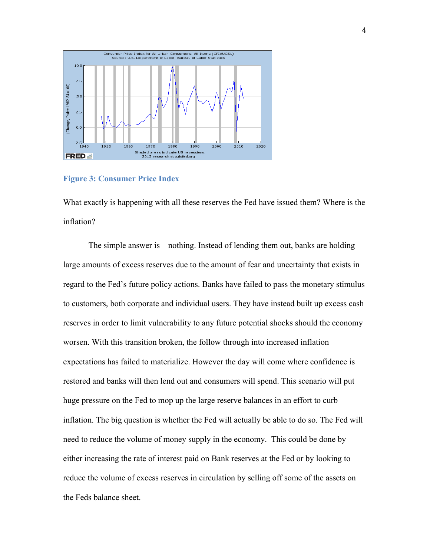

# **Figure 3: Consumer Price Index**

What exactly is happening with all these reserves the Fed have issued them? Where is the inflation?

The simple answer is – nothing. Instead of lending them out, banks are holding large amounts of excess reserves due to the amount of fear and uncertainty that exists in regard to the Fed's future policy actions. Banks have failed to pass the monetary stimulus to customers, both corporate and individual users. They have instead built up excess cash reserves in order to limit vulnerability to any future potential shocks should the economy worsen. With this transition broken, the follow through into increased inflation expectations has failed to materialize. However the day will come where confidence is restored and banks will then lend out and consumers will spend. This scenario will put huge pressure on the Fed to mop up the large reserve balances in an effort to curb inflation. The big question is whether the Fed will actually be able to do so. The Fed will need to reduce the volume of money supply in the economy. This could be done by either increasing the rate of interest paid on Bank reserves at the Fed or by looking to reduce the volume of excess reserves in circulation by selling off some of the assets on the Feds balance sheet.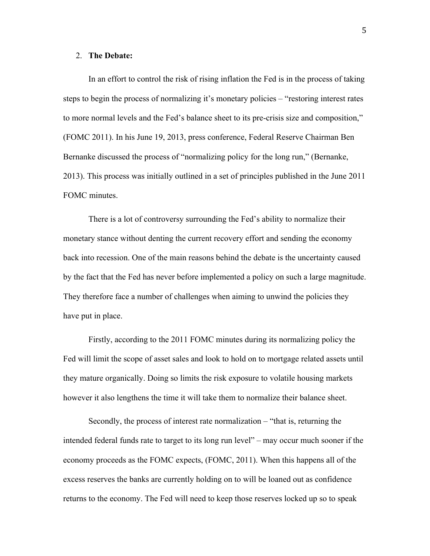# 2. **The Debate:**

In an effort to control the risk of rising inflation the Fed is in the process of taking steps to begin the process of normalizing it's monetary policies – "restoring interest rates to more normal levels and the Fed's balance sheet to its pre-crisis size and composition," (FOMC 2011). In his June 19, 2013, press conference, Federal Reserve Chairman Ben Bernanke discussed the process of "normalizing policy for the long run," (Bernanke, 2013). This process was initially outlined in a set of principles published in the June 2011 FOMC minutes.

There is a lot of controversy surrounding the Fed's ability to normalize their monetary stance without denting the current recovery effort and sending the economy back into recession. One of the main reasons behind the debate is the uncertainty caused by the fact that the Fed has never before implemented a policy on such a large magnitude. They therefore face a number of challenges when aiming to unwind the policies they have put in place.

Firstly, according to the 2011 FOMC minutes during its normalizing policy the Fed will limit the scope of asset sales and look to hold on to mortgage related assets until they mature organically. Doing so limits the risk exposure to volatile housing markets however it also lengthens the time it will take them to normalize their balance sheet.

Secondly, the process of interest rate normalization – "that is, returning the intended federal funds rate to target to its long run level" – may occur much sooner if the economy proceeds as the FOMC expects, (FOMC, 2011). When this happens all of the excess reserves the banks are currently holding on to will be loaned out as confidence returns to the economy. The Fed will need to keep those reserves locked up so to speak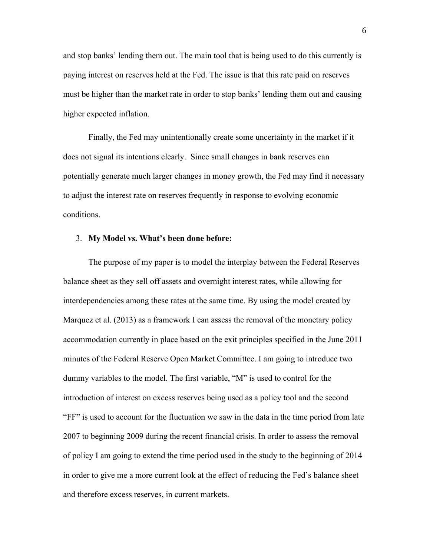and stop banks' lending them out. The main tool that is being used to do this currently is paying interest on reserves held at the Fed. The issue is that this rate paid on reserves must be higher than the market rate in order to stop banks' lending them out and causing higher expected inflation.

Finally, the Fed may unintentionally create some uncertainty in the market if it does not signal its intentions clearly. Since small changes in bank reserves can potentially generate much larger changes in money growth, the Fed may find it necessary to adjust the interest rate on reserves frequently in response to evolving economic conditions.

# 3. **My Model vs. What's been done before:**

The purpose of my paper is to model the interplay between the Federal Reserves balance sheet as they sell off assets and overnight interest rates, while allowing for interdependencies among these rates at the same time. By using the model created by Marquez et al. (2013) as a framework I can assess the removal of the monetary policy accommodation currently in place based on the exit principles specified in the June 2011 minutes of the Federal Reserve Open Market Committee. I am going to introduce two dummy variables to the model. The first variable, "M" is used to control for the introduction of interest on excess reserves being used as a policy tool and the second "FF" is used to account for the fluctuation we saw in the data in the time period from late 2007 to beginning 2009 during the recent financial crisis. In order to assess the removal of policy I am going to extend the time period used in the study to the beginning of 2014 in order to give me a more current look at the effect of reducing the Fed's balance sheet and therefore excess reserves, in current markets.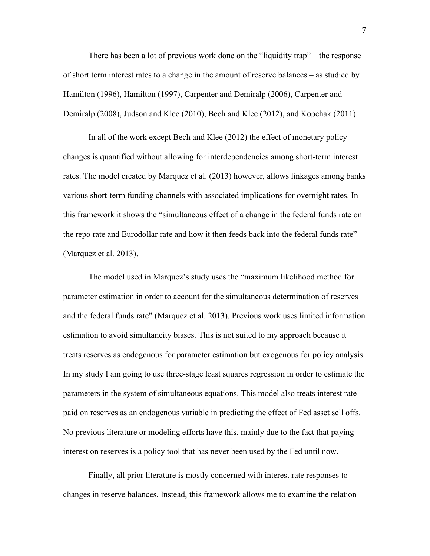There has been a lot of previous work done on the "liquidity trap" – the response of short term interest rates to a change in the amount of reserve balances – as studied by Hamilton (1996), Hamilton (1997), Carpenter and Demiralp (2006), Carpenter and Demiralp (2008), Judson and Klee (2010), Bech and Klee (2012), and Kopchak (2011).

In all of the work except Bech and Klee (2012) the effect of monetary policy changes is quantified without allowing for interdependencies among short-term interest rates. The model created by Marquez et al. (2013) however, allows linkages among banks various short-term funding channels with associated implications for overnight rates. In this framework it shows the "simultaneous effect of a change in the federal funds rate on the repo rate and Eurodollar rate and how it then feeds back into the federal funds rate" (Marquez et al. 2013).

The model used in Marquez's study uses the "maximum likelihood method for parameter estimation in order to account for the simultaneous determination of reserves and the federal funds rate" (Marquez et al. 2013). Previous work uses limited information estimation to avoid simultaneity biases. This is not suited to my approach because it treats reserves as endogenous for parameter estimation but exogenous for policy analysis. In my study I am going to use three-stage least squares regression in order to estimate the parameters in the system of simultaneous equations. This model also treats interest rate paid on reserves as an endogenous variable in predicting the effect of Fed asset sell offs. No previous literature or modeling efforts have this, mainly due to the fact that paying interest on reserves is a policy tool that has never been used by the Fed until now.

Finally, all prior literature is mostly concerned with interest rate responses to changes in reserve balances. Instead, this framework allows me to examine the relation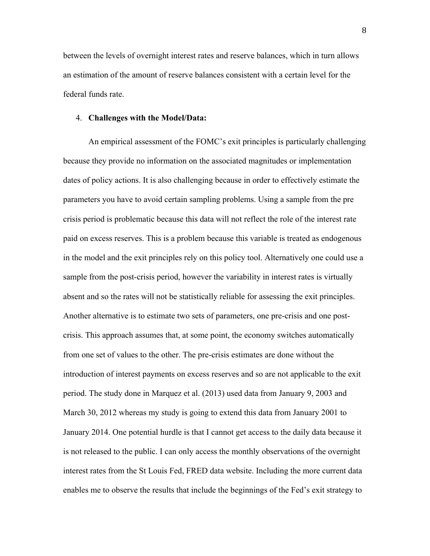between the levels of overnight interest rates and reserve balances, which in turn allows an estimation of the amount of reserve balances consistent with a certain level for the federal funds rate.

# 4. **Challenges with the Model/Data:**

An empirical assessment of the FOMC's exit principles is particularly challenging because they provide no information on the associated magnitudes or implementation dates of policy actions. It is also challenging because in order to effectively estimate the parameters you have to avoid certain sampling problems. Using a sample from the pre crisis period is problematic because this data will not reflect the role of the interest rate paid on excess reserves. This is a problem because this variable is treated as endogenous in the model and the exit principles rely on this policy tool. Alternatively one could use a sample from the post-crisis period, however the variability in interest rates is virtually absent and so the rates will not be statistically reliable for assessing the exit principles. Another alternative is to estimate two sets of parameters, one pre-crisis and one postcrisis. This approach assumes that, at some point, the economy switches automatically from one set of values to the other. The pre-crisis estimates are done without the introduction of interest payments on excess reserves and so are not applicable to the exit period. The study done in Marquez et al. (2013) used data from January 9, 2003 and March 30, 2012 whereas my study is going to extend this data from January 2001 to January 2014. One potential hurdle is that I cannot get access to the daily data because it is not released to the public. I can only access the monthly observations of the overnight interest rates from the St Louis Fed, FRED data website. Including the more current data enables me to observe the results that include the beginnings of the Fed's exit strategy to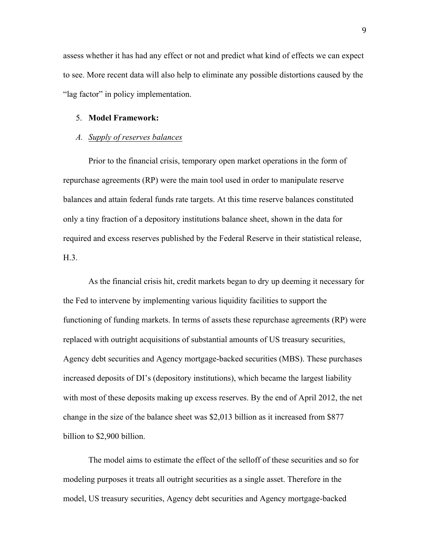assess whether it has had any effect or not and predict what kind of effects we can expect to see. More recent data will also help to eliminate any possible distortions caused by the "lag factor" in policy implementation.

# 5. **Model Framework:**

#### *A. Supply of reserves balances*

Prior to the financial crisis, temporary open market operations in the form of repurchase agreements (RP) were the main tool used in order to manipulate reserve balances and attain federal funds rate targets. At this time reserve balances constituted only a tiny fraction of a depository institutions balance sheet, shown in the data for required and excess reserves published by the Federal Reserve in their statistical release, H.3.

As the financial crisis hit, credit markets began to dry up deeming it necessary for the Fed to intervene by implementing various liquidity facilities to support the functioning of funding markets. In terms of assets these repurchase agreements (RP) were replaced with outright acquisitions of substantial amounts of US treasury securities, Agency debt securities and Agency mortgage-backed securities (MBS). These purchases increased deposits of DI's (depository institutions), which became the largest liability with most of these deposits making up excess reserves. By the end of April 2012, the net change in the size of the balance sheet was \$2,013 billion as it increased from \$877 billion to \$2,900 billion.

The model aims to estimate the effect of the selloff of these securities and so for modeling purposes it treats all outright securities as a single asset. Therefore in the model, US treasury securities, Agency debt securities and Agency mortgage-backed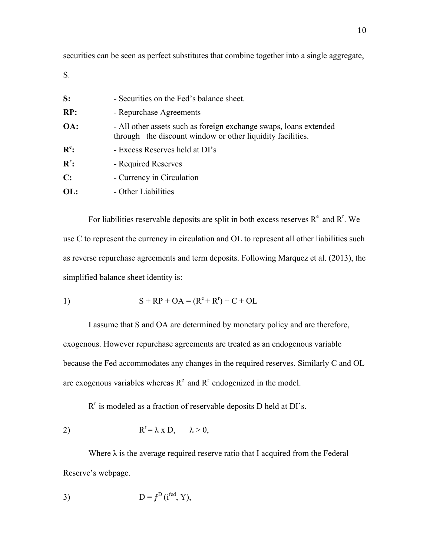securities can be seen as perfect substitutes that combine together into a single aggregate,

S.

| S:                          | - Securities on the Fed's balance sheet.                                                                                        |  |  |  |  |  |
|-----------------------------|---------------------------------------------------------------------------------------------------------------------------------|--|--|--|--|--|
| RP:                         | - Repurchase Agreements                                                                                                         |  |  |  |  |  |
| OA:                         | - All other assets such as foreign exchange swaps, loans extended<br>through the discount window or other liquidity facilities. |  |  |  |  |  |
| ${\bf R}^e$ :               | - Excess Reserves held at DI's                                                                                                  |  |  |  |  |  |
| $\mathbf{R}^{\mathbf{r}}$ : | - Required Reserves                                                                                                             |  |  |  |  |  |
| $\mathbf{C}$ :              | - Currency in Circulation                                                                                                       |  |  |  |  |  |
| OL:                         | - Other Liabilities                                                                                                             |  |  |  |  |  |

For liabilities reservable deposits are split in both excess reserves  $R^e$  and  $R^r$ . We use C to represent the currency in circulation and OL to represent all other liabilities such as reverse repurchase agreements and term deposits. Following Marquez et al. (2013), the simplified balance sheet identity is:

1) 
$$
S + RP + OA = (R^{e} + R^{r}) + C + OL
$$

I assume that S and OA are determined by monetary policy and are therefore, exogenous. However repurchase agreements are treated as an endogenous variable because the Fed accommodates any changes in the required reserves. Similarly C and OL are exogenous variables whereas  $R^e$  and  $R^r$  endogenized in the model.

 $R<sup>r</sup>$  is modeled as a fraction of reservable deposits D held at DI's.

$$
R^r = \lambda \times D, \qquad \lambda > 0,
$$

Where  $\lambda$  is the average required reserve ratio that I acquired from the Federal Reserve's webpage.

$$
D = f^{D} (i^{\text{fed}}, Y),
$$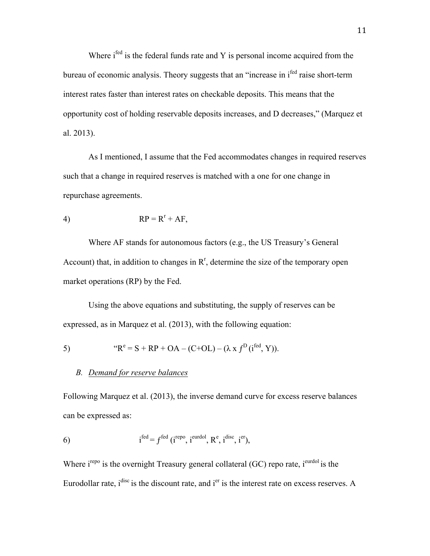Where i<sup>fed</sup> is the federal funds rate and Y is personal income acquired from the bureau of economic analysis. Theory suggests that an "increase in i<sup>fed</sup> raise short-term interest rates faster than interest rates on checkable deposits. This means that the opportunity cost of holding reservable deposits increases, and D decreases," (Marquez et al. 2013).

As I mentioned, I assume that the Fed accommodates changes in required reserves such that a change in required reserves is matched with a one for one change in repurchase agreements.

$$
RP = R^r + AF,
$$

Where AF stands for autonomous factors (e.g., the US Treasury's General Account) that, in addition to changes in  $R<sup>r</sup>$ , determine the size of the temporary open market operations (RP) by the Fed.

Using the above equations and substituting, the supply of reserves can be expressed, as in Marquez et al. (2013), with the following equation:

5) "R<sup>e</sup> = S + RP + OA – (C+OL) – (
$$
\lambda x f^{D}
$$
(i<sup>fed</sup>, Y)).

# *B. Demand for reserve balances*

Following Marquez et al. (2013), the inverse demand curve for excess reserve balances can be expressed as:

6) 
$$
i^{\text{fed}} = f^{\text{fed}} (i^{\text{repo}}, i^{\text{eurdol}}, R^e, i^{\text{disc}}, i^{\text{er}}),
$$

Where  $i^{repo}$  is the overnight Treasury general collateral (GC) repo rate,  $i^{eurdol}$  is the Eurodollar rate,  $i<sup>disc</sup>$  is the discount rate, and  $i<sup>er</sup>$  is the interest rate on excess reserves. A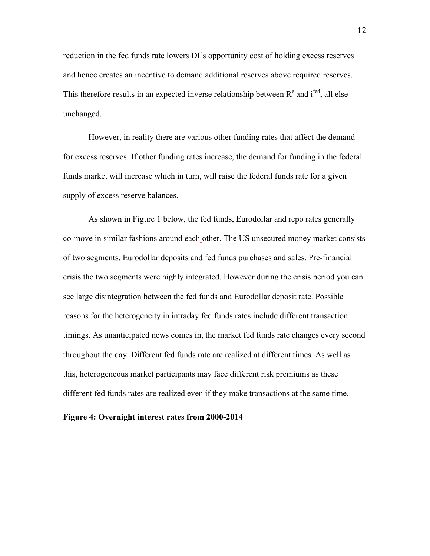reduction in the fed funds rate lowers DI's opportunity cost of holding excess reserves and hence creates an incentive to demand additional reserves above required reserves. This therefore results in an expected inverse relationship between  $R^e$  and  $i^{fed}$ , all else unchanged.

However, in reality there are various other funding rates that affect the demand for excess reserves. If other funding rates increase, the demand for funding in the federal funds market will increase which in turn, will raise the federal funds rate for a given supply of excess reserve balances.

As shown in Figure 1 below, the fed funds, Eurodollar and repo rates generally co-move in similar fashions around each other. The US unsecured money market consists of two segments, Eurodollar deposits and fed funds purchases and sales. Pre-financial crisis the two segments were highly integrated. However during the crisis period you can see large disintegration between the fed funds and Eurodollar deposit rate. Possible reasons for the heterogeneity in intraday fed funds rates include different transaction timings. As unanticipated news comes in, the market fed funds rate changes every second throughout the day. Different fed funds rate are realized at different times. As well as this, heterogeneous market participants may face different risk premiums as these different fed funds rates are realized even if they make transactions at the same time.

# **Figure 4: Overnight interest rates from 2000-2014**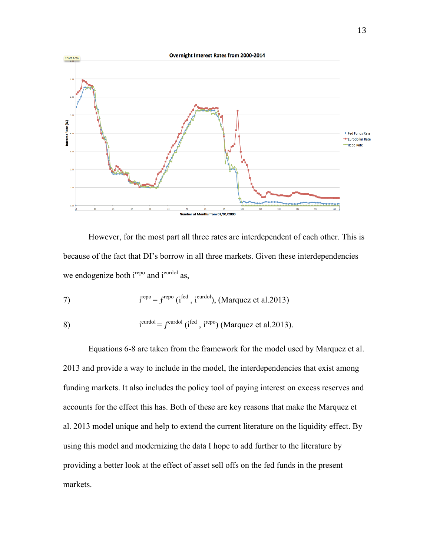

However, for the most part all three rates are interdependent of each other. This is because of the fact that DI's borrow in all three markets. Given these interdependencies we endogenize both i<sup>repo</sup> and i<sup>eurdol</sup> as,

$$
irepo = frepo (ifed, ieurdol), (Marquez et al.2013)
$$

8) 
$$
ieurdol = feurdol (ifed, irepo) (Marquez et al.2013).
$$

Equations 6-8 are taken from the framework for the model used by Marquez et al. 2013 and provide a way to include in the model, the interdependencies that exist among funding markets. It also includes the policy tool of paying interest on excess reserves and accounts for the effect this has. Both of these are key reasons that make the Marquez et al. 2013 model unique and help to extend the current literature on the liquidity effect. By using this model and modernizing the data I hope to add further to the literature by providing a better look at the effect of asset sell offs on the fed funds in the present markets.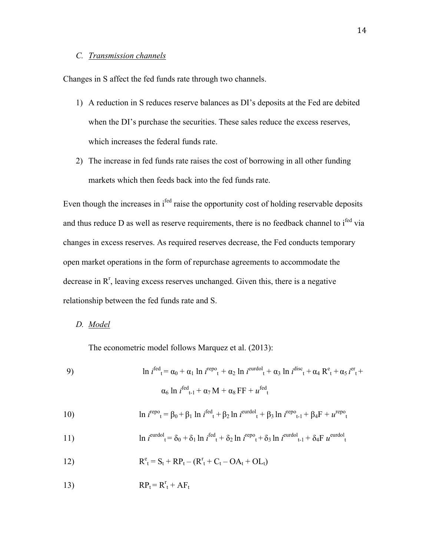# *C. Transmission channels*

Changes in S affect the fed funds rate through two channels.

- 1) A reduction in S reduces reserve balances as DI's deposits at the Fed are debited when the DI's purchase the securities. These sales reduce the excess reserves, which increases the federal funds rate.
- 2) The increase in fed funds rate raises the cost of borrowing in all other funding markets which then feeds back into the fed funds rate.

Even though the increases in i<sup>fed</sup> raise the opportunity cost of holding reservable deposits and thus reduce  $D$  as well as reserve requirements, there is no feedback channel to  $i<sup>fed</sup>$  via changes in excess reserves. As required reserves decrease, the Fed conducts temporary open market operations in the form of repurchase agreements to accommodate the decrease in  $R<sup>r</sup>$ , leaving excess reserves unchanged. Given this, there is a negative relationship between the fed funds rate and S.

# *D. Model*

The econometric model follows Marquez et al. (2013):

9) 
$$
\ln i^{\text{fed}} = \alpha_0 + \alpha_1 \ln i^{\text{rep}}_t + \alpha_2 \ln i^{\text{eurdol}}_t + \alpha_3 \ln i^{\text{disc}}_t + \alpha_4 R^e_t + \alpha_5 i^{\text{er}}_t + \alpha_6 \ln i^{\text{fed}}_t + \alpha_7 M + \alpha_8 FF + u^{\text{fed}}_t
$$

10) 
$$
\ln i^{\text{repo}} = \beta_0 + \beta_1 \ln i^{\text{fed}} + \beta_2 \ln i^{\text{eurdol}} + \beta_3 \ln i^{\text{repo}} + \beta_4 F + u^{\text{repo}} +
$$

11) 
$$
\ln i^{\text{eurdol}} = \delta_0 + \delta_1 \ln i^{\text{fed}} + \delta_2 \ln i^{\text{repo}} + \delta_3 \ln i^{\text{eurdol}} + \delta_4 F u^{\text{eurdol}} + \delta_5 H u^{\text{eurdol}} + \delta_6 H u^{\text{eurdol}} + \delta_7 H u^{\text{eurdol}} + \delta_8 H u^{\text{eurdol}} + \delta_9 H u^{\text{eurdol}} + \delta_9 H u^{\text{eurdol}} + \delta_9 H u^{\text{eurdol}} + \delta_9 H u^{\text{eurdol}} + \delta_9 H u^{\text{eurdol}} + \delta_9 H u^{\text{eurd}} + \delta_9 H u^{\text{eurd}} + \delta_9 H u^{\text{eurd}} + \delta_9 H u^{\text{eurd}} + \delta_9 H u^{\text{eurd}} + \delta_9 H u^{\text{eurd}} + \delta_9 H u^{\text{eurd}} + \delta_9 H u^{\text{eurd}} + \delta_9 H u^{\text{eurd}} + \delta_9 H u^{\text{eurd}} + \delta_9 H u^{\text{eurd}} + \delta_9 H u^{\text{eurd}} + \delta_9 H u^{\text{eurd}} + \delta_9 H u^{\text{eurd}} + \delta_9 H u^{\text{eurd}} + \delta_9 H u^{\text{eurd}} + \delta_9 H u^{\text{eurd}} + \delta_9 H u^{\text{eurd}} + \delta_9 H u^{\text{eurd}} + \delta_9 H u^{\text{eurd}} + \delta_9 H u^{\text{eurd}} + \delta_9 H u^{\text{eurd}} + \delta_9 H u^{\text{eurd}} + \delta_9 H u^{\text{eurd}} + \delta_9 H u^{\text{eurd}} + \delta_9 H u^{\text{eurd}} + \delta_9 H u^{\text{eurd}} + \delta_9 H u^{\text{eurd}} + \delta_9 H u^{\text{eurd}} + \delta_9 H u^{\text{eurd}} + \delta_9 H u^{\text{eurd}} + \delta_9 H u^{\text{eurd}} + \delta_9 H u^{\text{eurd}} + \delta_9 H u^{\text{eurd}} + \delta_9 H u^{\text{eurd}} + \delta_9 H u^{\
$$

12) 
$$
R^{e}_{t} = S_{t} + RP_{t} - (R^{r}_{t} + C_{t} - OA_{t} + OL_{t})
$$

13)  $RP_t = R_t^r + AF_t$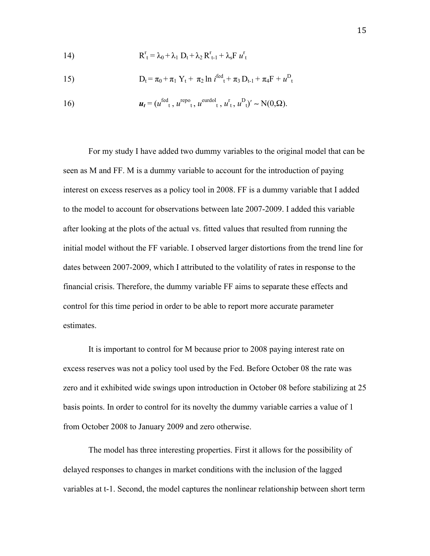14) 
$$
R_t^r = \lambda_0 + \lambda_1 D_t + \lambda_2 R_{t-1}^r + \lambda_s F u_t^r
$$

15) 
$$
D_t = \pi_0 + \pi_1 Y_t + \pi_2 \ln i^{\text{fed}}_t + \pi_3 D_{t-1} + \pi_4 F + u^D_t
$$

16) 
$$
\boldsymbol{u}_t = (u^{\text{fed}}_t, u^{\text{repo}}_t, u^{\text{eurdol}}_t, u^{\text{r}}_t, u^{\text{D}}_t)' \sim N(0, \Omega).
$$

For my study I have added two dummy variables to the original model that can be seen as M and FF. M is a dummy variable to account for the introduction of paying interest on excess reserves as a policy tool in 2008. FF is a dummy variable that I added to the model to account for observations between late 2007-2009. I added this variable after looking at the plots of the actual vs. fitted values that resulted from running the initial model without the FF variable. I observed larger distortions from the trend line for dates between 2007-2009, which I attributed to the volatility of rates in response to the financial crisis. Therefore, the dummy variable FF aims to separate these effects and control for this time period in order to be able to report more accurate parameter estimates.

It is important to control for M because prior to 2008 paying interest rate on excess reserves was not a policy tool used by the Fed. Before October 08 the rate was zero and it exhibited wide swings upon introduction in October 08 before stabilizing at 25 basis points. In order to control for its novelty the dummy variable carries a value of 1 from October 2008 to January 2009 and zero otherwise.

The model has three interesting properties. First it allows for the possibility of delayed responses to changes in market conditions with the inclusion of the lagged variables at t-1. Second, the model captures the nonlinear relationship between short term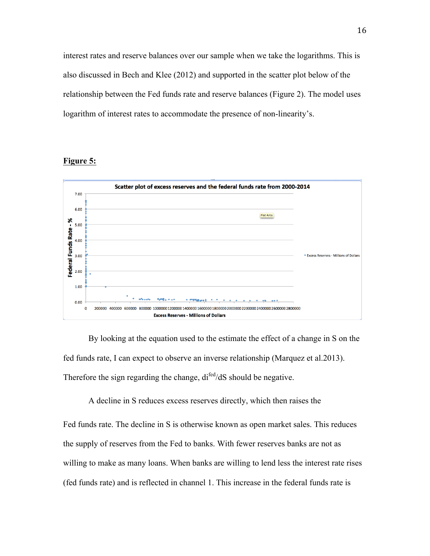interest rates and reserve balances over our sample when we take the logarithms. This is also discussed in Bech and Klee (2012) and supported in the scatter plot below of the relationship between the Fed funds rate and reserve balances (Figure 2). The model uses logarithm of interest rates to accommodate the presence of non-linearity's.

# **Figure 5:**



By looking at the equation used to the estimate the effect of a change in S on the fed funds rate, I can expect to observe an inverse relationship (Marquez et al.2013). Therefore the sign regarding the change,  $di<sup>fed</sup>/dS$  should be negative.

A decline in S reduces excess reserves directly, which then raises the Fed funds rate. The decline in S is otherwise known as open market sales. This reduces the supply of reserves from the Fed to banks. With fewer reserves banks are not as willing to make as many loans. When banks are willing to lend less the interest rate rises (fed funds rate) and is reflected in channel 1. This increase in the federal funds rate is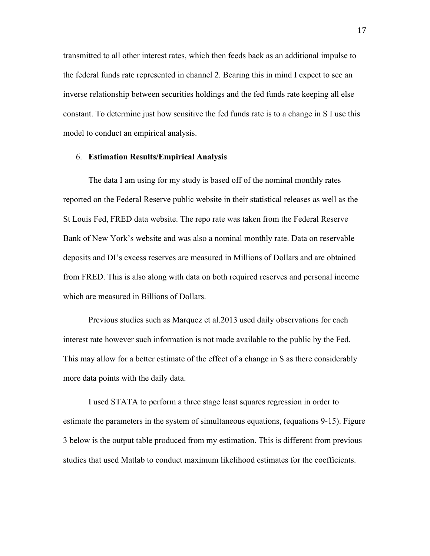transmitted to all other interest rates, which then feeds back as an additional impulse to the federal funds rate represented in channel 2. Bearing this in mind I expect to see an inverse relationship between securities holdings and the fed funds rate keeping all else constant. To determine just how sensitive the fed funds rate is to a change in S I use this model to conduct an empirical analysis.

# 6. **Estimation Results/Empirical Analysis**

The data I am using for my study is based off of the nominal monthly rates reported on the Federal Reserve public website in their statistical releases as well as the St Louis Fed, FRED data website. The repo rate was taken from the Federal Reserve Bank of New York's website and was also a nominal monthly rate. Data on reservable deposits and DI's excess reserves are measured in Millions of Dollars and are obtained from FRED. This is also along with data on both required reserves and personal income which are measured in Billions of Dollars.

Previous studies such as Marquez et al.2013 used daily observations for each interest rate however such information is not made available to the public by the Fed. This may allow for a better estimate of the effect of a change in S as there considerably more data points with the daily data.

I used STATA to perform a three stage least squares regression in order to estimate the parameters in the system of simultaneous equations, (equations 9-15). Figure 3 below is the output table produced from my estimation. This is different from previous studies that used Matlab to conduct maximum likelihood estimates for the coefficients.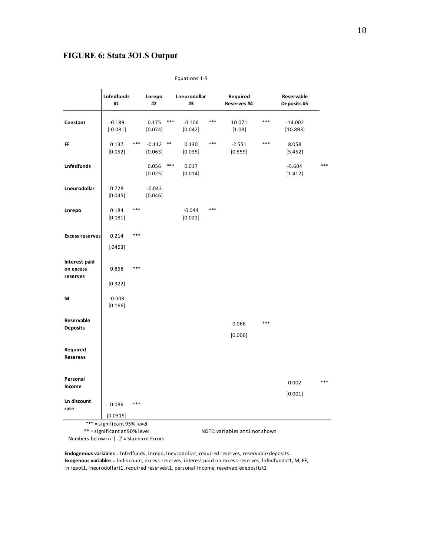# **FIGURE 6: Stata 3OLS Output**

|                                        | <b>Lnfedfunds</b><br>#1                                                                         |       | Lnrepo<br>#2             |       | Lneurodollar<br>#3  |       | Required<br>Reserves #4 |     | Reservable<br>Deposits #5 |     |
|----------------------------------------|-------------------------------------------------------------------------------------------------|-------|--------------------------|-------|---------------------|-------|-------------------------|-----|---------------------------|-----|
| Constant                               | $-0.189$<br>$[-0.081]$                                                                          |       | 0.175<br>[0.074]         | $***$ | $-0.106$<br>[0.042] | $***$ | 10.071<br>[1.08]        | *** | $-14.002$<br>[10.893]     |     |
| FF                                     | 0.137<br>[0.052]                                                                                | $***$ | $-0.112$ **<br>$[0.063]$ |       | 0.130<br>$[0.035]$  | $***$ | $-2.551$<br>[0.559]     | *** | 8.058<br>[5.452]          |     |
| <b>Lnfedfunds</b>                      |                                                                                                 |       | 0.056<br>[0.025]         | $***$ | 0.017<br>[0.014]    |       |                         |     | $-5.604$<br>[1.412]       | *** |
| Lneurodollar                           | 0.728<br>[0.045]                                                                                |       | $-0.043$<br>[0.046]      |       |                     |       |                         |     |                           |     |
| Lnrepo                                 | 0.184<br>[0.081]                                                                                | ***   |                          |       | $-0.044$<br>[0.022] | $***$ |                         |     |                           |     |
| <b>Excess reserves</b>                 | 0.214                                                                                           | ***   |                          |       |                     |       |                         |     |                           |     |
|                                        | [.0463]                                                                                         |       |                          |       |                     |       |                         |     |                           |     |
| Interest paid<br>on excess<br>reserves | 0.868                                                                                           | $***$ |                          |       |                     |       |                         |     |                           |     |
|                                        | [0.322]                                                                                         |       |                          |       |                     |       |                         |     |                           |     |
| М                                      | $-0.008$<br>[0.166]                                                                             |       |                          |       |                     |       |                         |     |                           |     |
| Reservable<br><b>Deposits</b>          |                                                                                                 |       |                          |       |                     |       | 0.066                   | *** |                           |     |
|                                        |                                                                                                 |       |                          |       |                     |       | [0.006]                 |     |                           |     |
| Required<br>Reserevs                   |                                                                                                 |       |                          |       |                     |       |                         |     |                           |     |
| Personal<br>Income                     |                                                                                                 |       |                          |       |                     |       |                         |     | 0.002                     | *** |
| Ln discount<br>rate                    | 0.086                                                                                           | $***$ |                          |       |                     |       |                         |     | [0.001]                   |     |
|                                        | [0.0315]                                                                                        |       |                          |       |                     |       |                         |     |                           |     |
|                                        | *** = significant 95% level<br>** = significant at 90% level<br>NOTE: variables at t1 not shown |       |                          |       |                     |       |                         |     |                           |     |

Equations 1-5

Numbers below in '[...]' = Standard Errors

Endogenous variables = Infedfunds, Inrepo, Ineurodollar, required reserves, reservable deposits. Exogenous variables = Indiscount, excess reserves, interest paid on excess reserves, Infedfundst1, M, FF, In repot1, Ineurodollart1, required reservest1, personal income, reservabledepositst1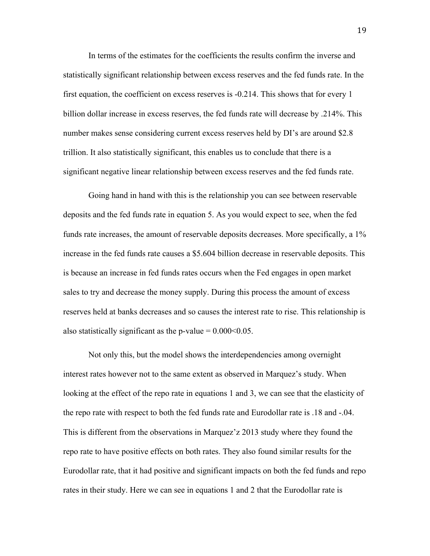In terms of the estimates for the coefficients the results confirm the inverse and statistically significant relationship between excess reserves and the fed funds rate. In the first equation, the coefficient on excess reserves is -0.214. This shows that for every 1 billion dollar increase in excess reserves, the fed funds rate will decrease by .214%. This number makes sense considering current excess reserves held by DI's are around \$2.8 trillion. It also statistically significant, this enables us to conclude that there is a significant negative linear relationship between excess reserves and the fed funds rate.

Going hand in hand with this is the relationship you can see between reservable deposits and the fed funds rate in equation 5. As you would expect to see, when the fed funds rate increases, the amount of reservable deposits decreases. More specifically, a 1% increase in the fed funds rate causes a \$5.604 billion decrease in reservable deposits. This is because an increase in fed funds rates occurs when the Fed engages in open market sales to try and decrease the money supply. During this process the amount of excess reserves held at banks decreases and so causes the interest rate to rise. This relationship is also statistically significant as the p-value  $= 0.000<0.05$ .

Not only this, but the model shows the interdependencies among overnight interest rates however not to the same extent as observed in Marquez's study. When looking at the effect of the repo rate in equations 1 and 3, we can see that the elasticity of the repo rate with respect to both the fed funds rate and Eurodollar rate is .18 and -.04. This is different from the observations in Marquez'z 2013 study where they found the repo rate to have positive effects on both rates. They also found similar results for the Eurodollar rate, that it had positive and significant impacts on both the fed funds and repo rates in their study. Here we can see in equations 1 and 2 that the Eurodollar rate is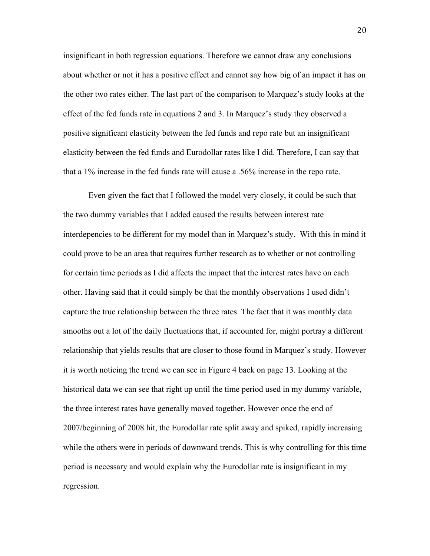insignificant in both regression equations. Therefore we cannot draw any conclusions about whether or not it has a positive effect and cannot say how big of an impact it has on the other two rates either. The last part of the comparison to Marquez's study looks at the effect of the fed funds rate in equations 2 and 3. In Marquez's study they observed a positive significant elasticity between the fed funds and repo rate but an insignificant elasticity between the fed funds and Eurodollar rates like I did. Therefore, I can say that that a 1% increase in the fed funds rate will cause a .56% increase in the repo rate.

Even given the fact that I followed the model very closely, it could be such that the two dummy variables that I added caused the results between interest rate interdepencies to be different for my model than in Marquez's study. With this in mind it could prove to be an area that requires further research as to whether or not controlling for certain time periods as I did affects the impact that the interest rates have on each other. Having said that it could simply be that the monthly observations I used didn't capture the true relationship between the three rates. The fact that it was monthly data smooths out a lot of the daily fluctuations that, if accounted for, might portray a different relationship that yields results that are closer to those found in Marquez's study. However it is worth noticing the trend we can see in Figure 4 back on page 13. Looking at the historical data we can see that right up until the time period used in my dummy variable, the three interest rates have generally moved together. However once the end of 2007/beginning of 2008 hit, the Eurodollar rate split away and spiked, rapidly increasing while the others were in periods of downward trends. This is why controlling for this time period is necessary and would explain why the Eurodollar rate is insignificant in my regression.

20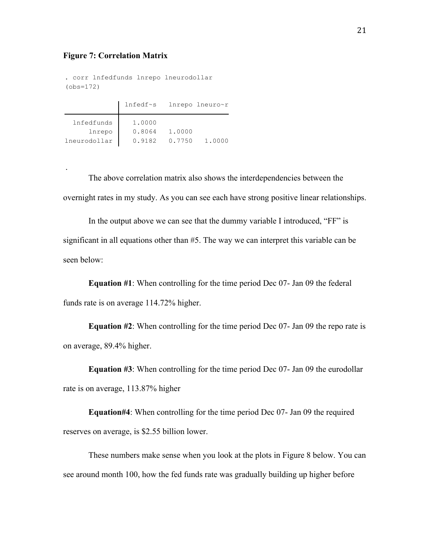# **Figure 7: Correlation Matrix**

.

(obs=172) . corr lnfedfunds lnrepo lneurodollar

|              | Infedf~s lnrepo lneuro~r |        |        |
|--------------|--------------------------|--------|--------|
| lnfedfunds   | 1,0000                   |        |        |
| lnrepo       | 0.8064                   | 1,0000 |        |
| lneurodollar | 0.9182                   | 0.7750 | 1,0000 |

The above correlation matrix also shows the interdependencies between the overnight rates in my study. As you can see each have strong positive linear relationships.

In the output above we can see that the dummy variable I introduced, "FF" is significant in all equations other than #5. The way we can interpret this variable can be seen below:

**Equation #1**: When controlling for the time period Dec 07- Jan 09 the federal funds rate is on average 114.72% higher.

**Equation #2**: When controlling for the time period Dec 07- Jan 09 the repo rate is on average, 89.4% higher.

**Equation #3**: When controlling for the time period Dec 07- Jan 09 the eurodollar rate is on average, 113.87% higher

**Equation#4**: When controlling for the time period Dec 07- Jan 09 the required reserves on average, is \$2.55 billion lower.

These numbers make sense when you look at the plots in Figure 8 below. You can see around month 100, how the fed funds rate was gradually building up higher before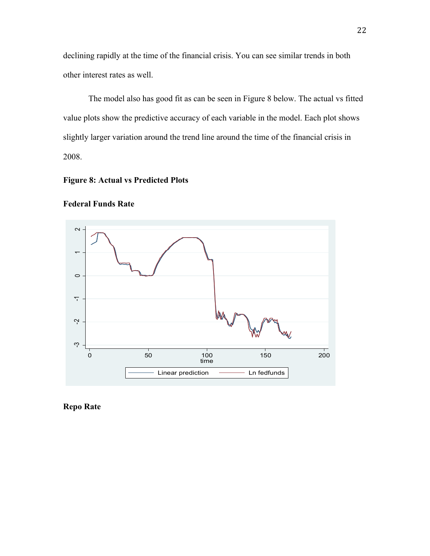declining rapidly at the time of the financial crisis. You can see similar trends in both other interest rates as well.

The model also has good fit as can be seen in Figure 8 below. The actual vs fitted value plots show the predictive accuracy of each variable in the model. Each plot shows slightly larger variation around the trend line around the time of the financial crisis in 2008.

# **Figure 8: Actual vs Predicted Plots**



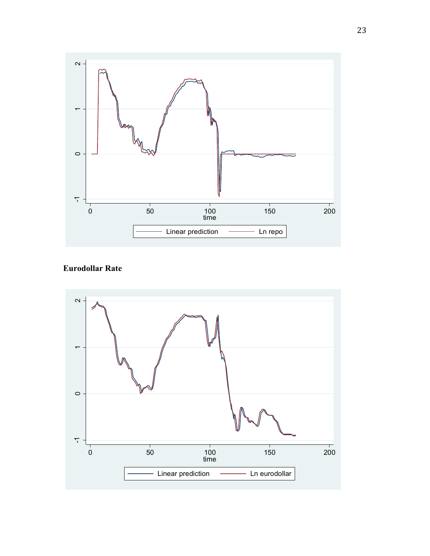

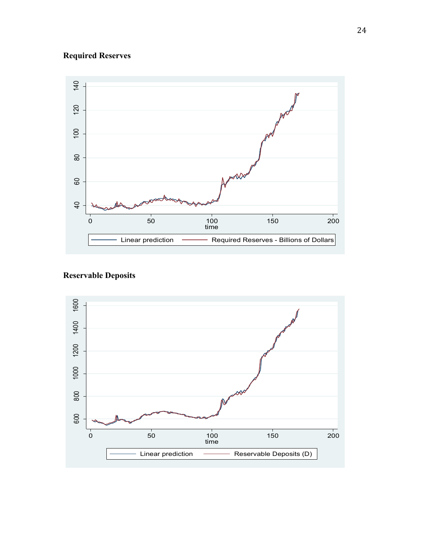# **Required Reserves**



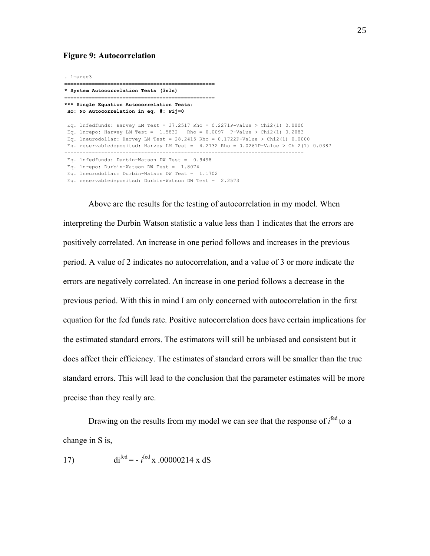## **Figure 9: Autocorrelation**

Eq. reservabledepositsd: Durbin-Watson DW Test = 2.2573 Eq. lneurodollar: Durbin-Watson DW Test = 1.1702 Eq. lnrepo: Durbin-Watson DW Test = 1.8074 Eq. lnfedfunds: Durbin-Watson DW Test = 0.9498 ------------------------------------------------------------------------------ Eq. reservabledepositsd: Harvey LM Test = 4.2732 Rho = 0.0261P-Value > Chi2(1) 0.0387 Eq. lneurodollar: Harvey LM Test =  $28.2415$  Rho =  $0.1722P$ -Value > Chi2(1) 0.0000 Eq. lnrepo: Harvey LM Test = 1.5832 Rho = 0.0097 P-Value > Chi2(1) 0.2083 Eq. lnfedfunds: Harvey LM Test = 37.2517 Rho = 0.2271P-Value > Chi2(1) 0.0000 **Ho: No Autocorrelation in eq. #: Pij=0 \*\*\* Single Equation Autocorrelation Tests: ================================================= \* System Autocorrelation Tests (3sls) =================================================** . lmareg3

Above are the results for the testing of autocorrelation in my model. When interpreting the Durbin Watson statistic a value less than 1 indicates that the errors are positively correlated. An increase in one period follows and increases in the previous period. A value of 2 indicates no autocorrelation, and a value of 3 or more indicate the errors are negatively correlated. An increase in one period follows a decrease in the previous period. With this in mind I am only concerned with autocorrelation in the first equation for the fed funds rate. Positive autocorrelation does have certain implications for the estimated standard errors. The estimators will still be unbiased and consistent but it does affect their efficiency. The estimates of standard errors will be smaller than the true standard errors. This will lead to the conclusion that the parameter estimates will be more precise than they really are.

Drawing on the results from my model we can see that the response of *i*<sup>fed</sup> to a change in S is,

17)  $di^{fed} = -i^{fed} x .00000214 x dS$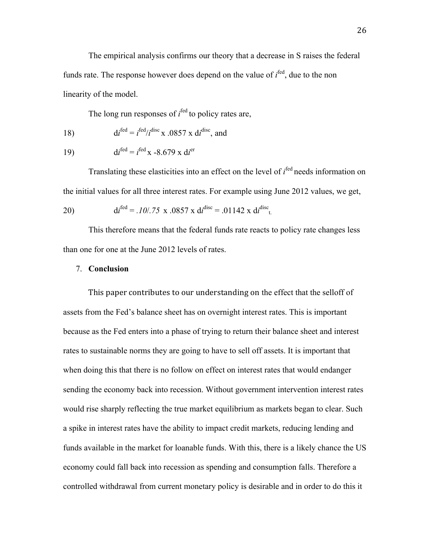The empirical analysis confirms our theory that a decrease in S raises the federal funds rate. The response however does depend on the value of *i*<sup>fed</sup>, due to the non linearity of the model.

The long run responses of  $i^{\text{fed}}$  to policy rates are,

18) 
$$
di^{\text{fed}} = i^{\text{fed}} / i^{\text{disc}} \times .0857 \times di^{\text{disc}}, \text{ and}
$$

$$
d i^{fed} = i^{fed} x - 8.679 x \, dt^{er}
$$

Translating these elasticities into an effect on the level of *i* fed needs information on the initial values for all three interest rates. For example using June 2012 values, we get,

20) 
$$
di^{fed} = .10/.75 \times .0857 \times di^{disc} = .01142 \times di^{disc}
$$

This therefore means that the federal funds rate reacts to policy rate changes less than one for one at the June 2012 levels of rates.

# 7. **Conclusion**

This paper contributes to our understanding on the effect that the selloff of assets from the Fed's balance sheet has on overnight interest rates. This is important because as the Fed enters into a phase of trying to return their balance sheet and interest rates to sustainable norms they are going to have to sell off assets. It is important that when doing this that there is no follow on effect on interest rates that would endanger sending the economy back into recession. Without government intervention interest rates would rise sharply reflecting the true market equilibrium as markets began to clear. Such a spike in interest rates have the ability to impact credit markets, reducing lending and funds available in the market for loanable funds. With this, there is a likely chance the US economy could fall back into recession as spending and consumption falls. Therefore a controlled withdrawal from current monetary policy is desirable and in order to do this it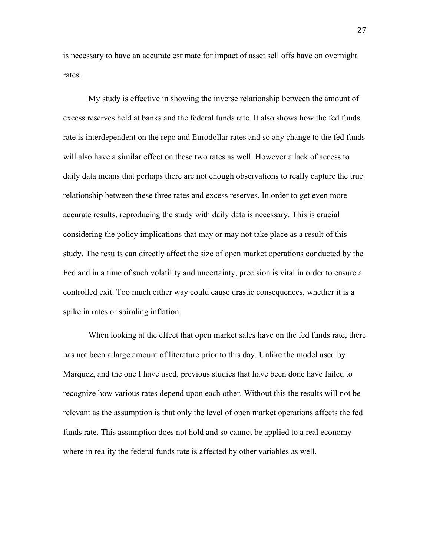is necessary to have an accurate estimate for impact of asset sell offs have on overnight rates.

My study is effective in showing the inverse relationship between the amount of excess reserves held at banks and the federal funds rate. It also shows how the fed funds rate is interdependent on the repo and Eurodollar rates and so any change to the fed funds will also have a similar effect on these two rates as well. However a lack of access to daily data means that perhaps there are not enough observations to really capture the true relationship between these three rates and excess reserves. In order to get even more accurate results, reproducing the study with daily data is necessary. This is crucial considering the policy implications that may or may not take place as a result of this study. The results can directly affect the size of open market operations conducted by the Fed and in a time of such volatility and uncertainty, precision is vital in order to ensure a controlled exit. Too much either way could cause drastic consequences, whether it is a spike in rates or spiraling inflation.

When looking at the effect that open market sales have on the fed funds rate, there has not been a large amount of literature prior to this day. Unlike the model used by Marquez, and the one I have used, previous studies that have been done have failed to recognize how various rates depend upon each other. Without this the results will not be relevant as the assumption is that only the level of open market operations affects the fed funds rate. This assumption does not hold and so cannot be applied to a real economy where in reality the federal funds rate is affected by other variables as well.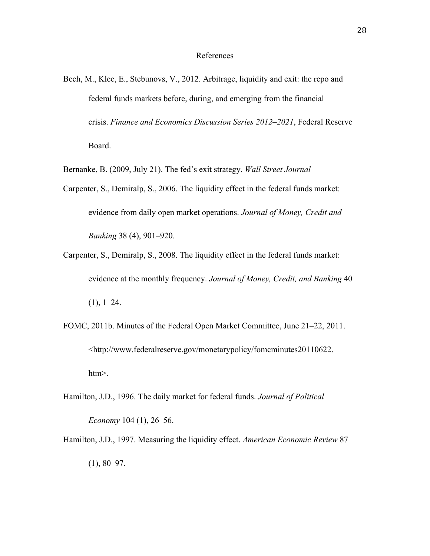- Bech, M., Klee, E., Stebunovs, V., 2012. Arbitrage, liquidity and exit: the repo and federal funds markets before, during, and emerging from the financial crisis. *Finance and Economics Discussion Series 2012–2021*, Federal Reserve Board.
- Bernanke, B. (2009, July 21). The fed's exit strategy. *Wall Street Journal*
- Carpenter, S., Demiralp, S., 2006. The liquidity effect in the federal funds market: evidence from daily open market operations. *Journal of Money, Credit and Banking* 38 (4), 901–920.
- Carpenter, S., Demiralp, S., 2008. The liquidity effect in the federal funds market: evidence at the monthly frequency. *Journal of Money, Credit, and Banking* 40  $(1), 1-24.$
- FOMC, 2011b. Minutes of the Federal Open Market Committee, June 21–22, 2011. <http://www.federalreserve.gov/monetarypolicy/fomcminutes20110622. htm>.
- Hamilton, J.D., 1996. The daily market for federal funds. *Journal of Political Economy* 104 (1), 26–56.
- Hamilton, J.D., 1997. Measuring the liquidity effect. *American Economic Review* 87  $(1), 80-97.$